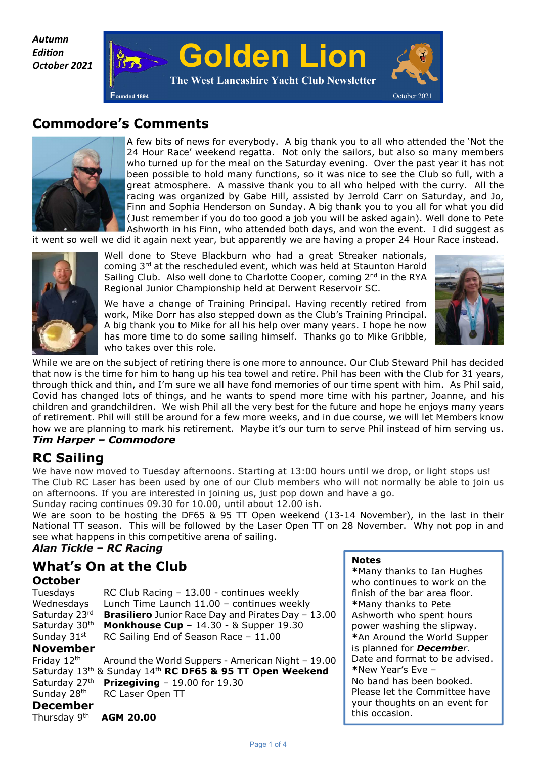*Autumn Edi on October 2021* 



# **Commodore's Comments**



A few bits of news for everybody. A big thank you to all who attended the 'Not the 24 Hour Race' weekend regatta. Not only the sailors, but also so many members who turned up for the meal on the Saturday evening. Over the past year it has not been possible to hold many functions, so it was nice to see the Club so full, with a great atmosphere. A massive thank you to all who helped with the curry. All the racing was organized by Gabe Hill, assisted by Jerrold Carr on Saturday, and Jo, Finn and Sophia Henderson on Sunday. A big thank you to you all for what you did (Just remember if you do too good a job you will be asked again). Well done to Pete Ashworth in his Finn, who attended both days, and won the event. I did suggest as

it went so well we did it again next year, but apparently we are having a proper 24 Hour Race instead.



Well done to Steve Blackburn who had a great Streaker nationals, coming 3rd at the rescheduled event, which was held at Staunton Harold Sailing Club. Also well done to Charlotte Cooper, coming 2<sup>nd</sup> in the RYA Regional Junior Championship held at Derwent Reservoir SC.

We have a change of Training Principal. Having recently retired from work, Mike Dorr has also stepped down as the Club's Training Principal. A big thank you to Mike for all his help over many years. I hope he now has more time to do some sailing himself. Thanks go to Mike Gribble, who takes over this role.



While we are on the subject of retiring there is one more to announce. Our Club Steward Phil has decided that now is the time for him to hang up his tea towel and retire. Phil has been with the Club for 31 years, through thick and thin, and I'm sure we all have fond memories of our time spent with him. As Phil said, Covid has changed lots of things, and he wants to spend more time with his partner, Joanne, and his children and grandchildren. We wish Phil all the very best for the future and hope he enjoys many years of retirement. Phil will still be around for a few more weeks, and in due course, we will let Members know how we are planning to mark his retirement. Maybe it's our turn to serve Phil instead of him serving us. *Tim Harper – Commodore* 

# **RC Sailing**

We have now moved to Tuesday afternoons. Starting at 13:00 hours until we drop, or light stops us! The Club RC Laser has been used by one of our Club members who will not normally be able to join us on afternoons. If you are interested in joining us, just pop down and have a go.

Sunday racing continues 09.30 for 10.00, until about 12.00 ish.

We are soon to be hosting the DF65 & 95 TT Open weekend (13-14 November), in the last in their National TT season. This will be followed by the Laser Open TT on 28 November. Why not pop in and see what happens in this competitive arena of sailing.

## *Alan Tickle – RC Racing*

## **What's On at the Club October**

Tuesdays RC Club Racing – 13.00 - continues weekly Wednesdays Lunch Time Launch 11.00 – continues weekly Saturday 23rd **Brasiliero** Junior Race Day and Pirates Day – 13.00 Saturday 30<sup>th</sup> **Monkhouse Cup** – 14.30 - & Supper 19.30 Sunday  $31<sup>st</sup>$  RC Sailing End of Season Race - 11.00

## **November**

Friday  $12<sup>th</sup>$  Around the World Suppers - American Night – 19.00 Saturday 13th & Sunday 14th **RC DF65 & 95 TT Open Weekend** Saturday 27th **Prizegiving** – 19.00 for 19.30 Sunday 28<sup>th</sup> RC Laser Open TT

#### **Notes**

**\***Many thanks to Ian Hughes who continues to work on the finish of the bar area floor. **\***Many thanks to Pete Ashworth who spent hours power washing the slipway. **\***An Around the World Supper is planned for *December*. Date and format to be advised. **\***New Year's Eve – No band has been booked. Please let the Committee have your thoughts on an event for this occasion.

**December** 

Thursday 9th **AGM 20.00**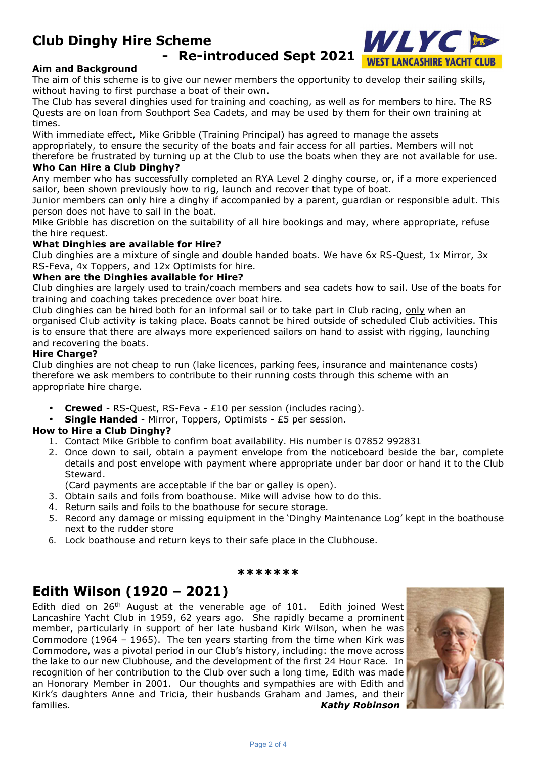# **Club Dinghy Hire Scheme**

**- Re-introduced Sept 2021**

WLYC

**WEST LANCASHIRE YACHT CLUB** 



The aim of this scheme is to give our newer members the opportunity to develop their sailing skills, without having to first purchase a boat of their own.

The Club has several dinghies used for training and coaching, as well as for members to hire. The RS Quests are on loan from Southport Sea Cadets, and may be used by them for their own training at times.

With immediate effect, Mike Gribble (Training Principal) has agreed to manage the assets appropriately, to ensure the security of the boats and fair access for all parties. Members will not therefore be frustrated by turning up at the Club to use the boats when they are not available for use.

### **Who Can Hire a Club Dinghy?**

Any member who has successfully completed an RYA Level 2 dinghy course, or, if a more experienced sailor, been shown previously how to rig, launch and recover that type of boat.

Junior members can only hire a dinghy if accompanied by a parent, guardian or responsible adult. This person does not have to sail in the boat.

Mike Gribble has discretion on the suitability of all hire bookings and may, where appropriate, refuse the hire request.

#### **What Dinghies are available for Hire?**

Club dinghies are a mixture of single and double handed boats. We have 6x RS-Quest, 1x Mirror, 3x RS-Feva, 4x Toppers, and 12x Optimists for hire.

#### **When are the Dinghies available for Hire?**

Club dinghies are largely used to train/coach members and sea cadets how to sail. Use of the boats for training and coaching takes precedence over boat hire.

Club dinghies can be hired both for an informal sail or to take part in Club racing, only when an organised Club activity is taking place. Boats cannot be hired outside of scheduled Club activities. This is to ensure that there are always more experienced sailors on hand to assist with rigging, launching and recovering the boats.

#### **Hire Charge?**

Club dinghies are not cheap to run (lake licences, parking fees, insurance and maintenance costs) therefore we ask members to contribute to their running costs through this scheme with an appropriate hire charge.

- **Crewed**  RS-Quest, RS-Feva £10 per session (includes racing).
- **Single Handed** Mirror, Toppers, Optimists £5 per session.

#### **How to Hire a Club Dinghy?**

- 1. Contact Mike Gribble to confirm boat availability. His number is 07852 992831
- 2. Once down to sail, obtain a payment envelope from the noticeboard beside the bar, complete details and post envelope with payment where appropriate under bar door or hand it to the Club Steward.

(Card payments are acceptable if the bar or galley is open).

- 3. Obtain sails and foils from boathouse. Mike will advise how to do this.
- 4. Return sails and foils to the boathouse for secure storage.
- 5. Record any damage or missing equipment in the 'Dinghy Maintenance Log' kept in the boathouse next to the rudder store
- 6. Lock boathouse and return keys to their safe place in the Clubhouse.

#### **\*\*\*\*\*\*\***

# **Edith Wilson (1920 – 2021)**

Edith died on 26<sup>th</sup> August at the venerable age of 101. Edith joined West Lancashire Yacht Club in 1959, 62 years ago. She rapidly became a prominent member, particularly in support of her late husband Kirk Wilson, when he was Commodore (1964 – 1965). The ten years starting from the time when Kirk was Commodore, was a pivotal period in our Club's history, including: the move across the lake to our new Clubhouse, and the development of the first 24 Hour Race. In recognition of her contribution to the Club over such a long time, Edith was made an Honorary Member in 2001. Our thoughts and sympathies are with Edith and Kirk's daughters Anne and Tricia, their husbands Graham and James, and their families. *Kathy Robinson*

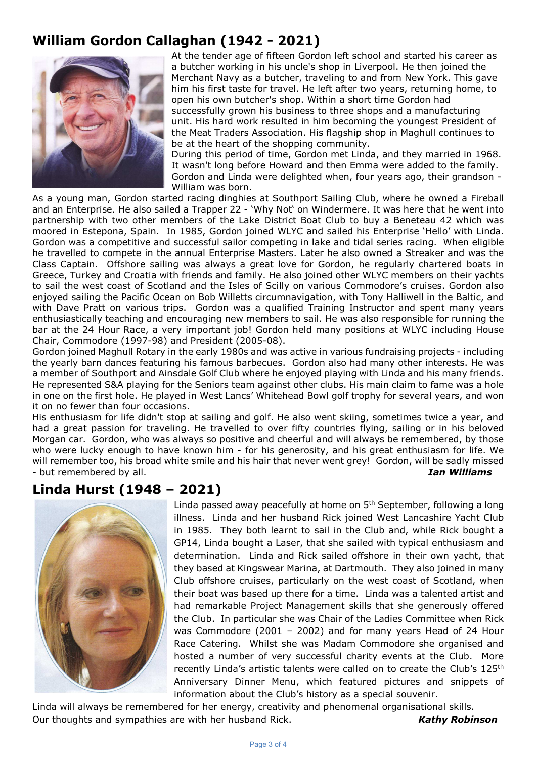# **William Gordon Callaghan (1942 - 2021)**



At the tender age of fifteen Gordon left school and started his career as a butcher working in his uncle's shop in Liverpool. He then joined the Merchant Navy as a butcher, traveling to and from New York. This gave him his first taste for travel. He left after two years, returning home, to open his own butcher's shop. Within a short time Gordon had successfully grown his business to three shops and a manufacturing unit. His hard work resulted in him becoming the youngest President of the Meat Traders Association. His flagship shop in Maghull continues to be at the heart of the shopping community.

During this period of time, Gordon met Linda, and they married in 1968. It wasn't long before Howard and then Emma were added to the family. Gordon and Linda were delighted when, four years ago, their grandson - William was born.

As a young man, Gordon started racing dinghies at Southport Sailing Club, where he owned a Fireball and an Enterprise. He also sailed a Trapper 22 - 'Why Not' on Windermere. It was here that he went into partnership with two other members of the Lake District Boat Club to buy a Beneteau 42 which was moored in Estepona, Spain. In 1985, Gordon joined WLYC and sailed his Enterprise 'Hello' with Linda. Gordon was a competitive and successful sailor competing in lake and tidal series racing. When eligible he travelled to compete in the annual Enterprise Masters. Later he also owned a Streaker and was the Class Captain. Offshore sailing was always a great love for Gordon, he regularly chartered boats in Greece, Turkey and Croatia with friends and family. He also joined other WLYC members on their yachts to sail the west coast of Scotland and the Isles of Scilly on various Commodore's cruises. Gordon also enjoyed sailing the Pacific Ocean on Bob Willetts circumnavigation, with Tony Halliwell in the Baltic, and with Dave Pratt on various trips. Gordon was a qualified Training Instructor and spent many years enthusiastically teaching and encouraging new members to sail. He was also responsible for running the bar at the 24 Hour Race, a very important job! Gordon held many positions at WLYC including House Chair, Commodore (1997-98) and President (2005-08).

Gordon joined Maghull Rotary in the early 1980s and was active in various fundraising projects - including the yearly barn dances featuring his famous barbecues. Gordon also had many other interests. He was a member of Southport and Ainsdale Golf Club where he enjoyed playing with Linda and his many friends. He represented S&A playing for the Seniors team against other clubs. His main claim to fame was a hole in one on the first hole. He played in West Lancs' Whitehead Bowl golf trophy for several years, and won it on no fewer than four occasions.

His enthusiasm for life didn't stop at sailing and golf. He also went skiing, sometimes twice a year, and had a great passion for traveling. He travelled to over fifty countries flying, sailing or in his beloved Morgan car. Gordon, who was always so positive and cheerful and will always be remembered, by those who were lucky enough to have known him - for his generosity, and his great enthusiasm for life. We will remember too, his broad white smile and his hair that never went grey! Gordon, will be sadly missed - but remembered by all. *Ian Williams*

# **Linda Hurst (1948 – 2021)**



Linda passed away peacefully at home on 5<sup>th</sup> September, following a long illness. Linda and her husband Rick joined West Lancashire Yacht Club in 1985. They both learnt to sail in the Club and, while Rick bought a GP14, Linda bought a Laser, that she sailed with typical enthusiasm and determination. Linda and Rick sailed offshore in their own yacht, that they based at Kingswear Marina, at Dartmouth. They also joined in many Club offshore cruises, particularly on the west coast of Scotland, when their boat was based up there for a time. Linda was a talented artist and had remarkable Project Management skills that she generously offered the Club. In particular she was Chair of the Ladies Committee when Rick was Commodore (2001 – 2002) and for many years Head of 24 Hour Race Catering. Whilst she was Madam Commodore she organised and hosted a number of very successful charity events at the Club. More recently Linda's artistic talents were called on to create the Club's 125<sup>th</sup> Anniversary Dinner Menu, which featured pictures and snippets of information about the Club's history as a special souvenir.

Linda will always be remembered for her energy, creativity and phenomenal organisational skills. Our thoughts and sympathies are with her husband Rick. *Kathy Robinson*